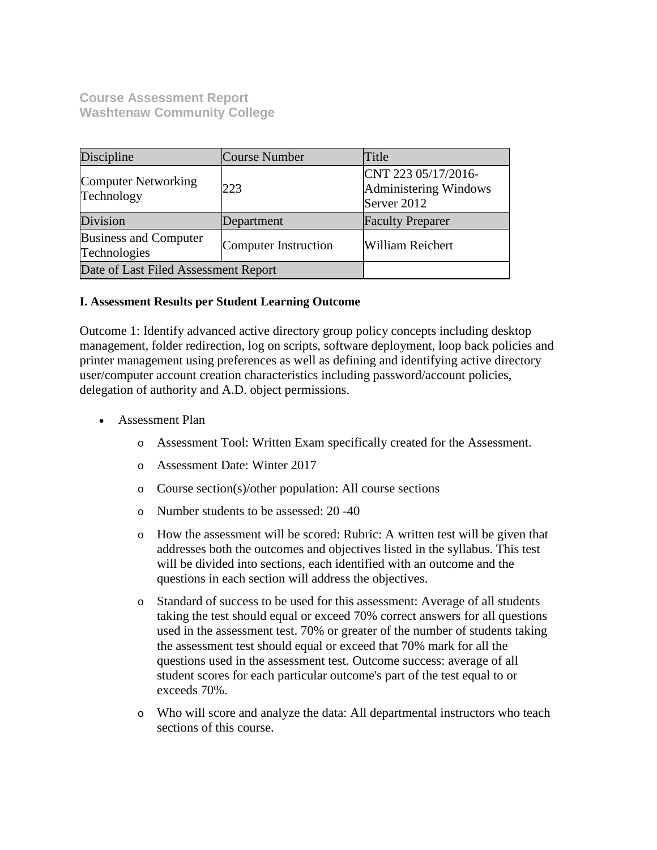**Course Assessment Report Washtenaw Community College**

| Discipline                                   | <b>Course Number</b> | Title                                                       |
|----------------------------------------------|----------------------|-------------------------------------------------------------|
| Computer Networking<br>Technology            | 223                  | CNT 223 05/17/2016-<br>Administering Windows<br>Server 2012 |
| Division                                     | Department           | <b>Faculty Preparer</b>                                     |
| <b>Business and Computer</b><br>Technologies | Computer Instruction | <b>William Reichert</b>                                     |
| Date of Last Filed Assessment Report         |                      |                                                             |

## **I. Assessment Results per Student Learning Outcome**

Outcome 1: Identify advanced active directory group policy concepts including desktop management, folder redirection, log on scripts, software deployment, loop back policies and printer management using preferences as well as defining and identifying active directory user/computer account creation characteristics including password/account policies, delegation of authority and A.D. object permissions.

- Assessment Plan
	- o Assessment Tool: Written Exam specifically created for the Assessment.
	- o Assessment Date: Winter 2017
	- o Course section(s)/other population: All course sections
	- o Number students to be assessed: 20 -40
	- o How the assessment will be scored: Rubric: A written test will be given that addresses both the outcomes and objectives listed in the syllabus. This test will be divided into sections, each identified with an outcome and the questions in each section will address the objectives.
	- o Standard of success to be used for this assessment: Average of all students taking the test should equal or exceed 70% correct answers for all questions used in the assessment test. 70% or greater of the number of students taking the assessment test should equal or exceed that 70% mark for all the questions used in the assessment test. Outcome success: average of all student scores for each particular outcome's part of the test equal to or exceeds 70%.
	- o Who will score and analyze the data: All departmental instructors who teach sections of this course.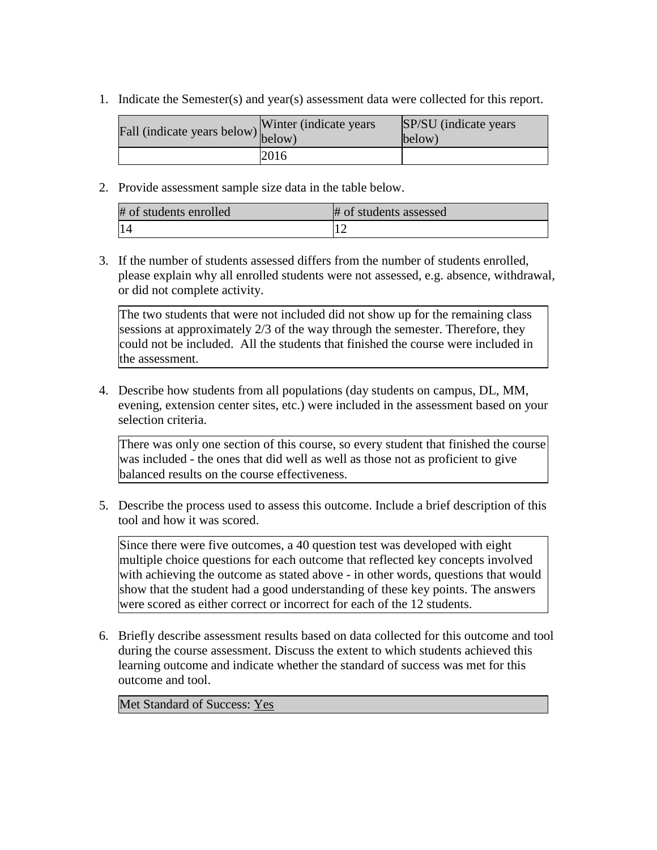1. Indicate the Semester(s) and year(s) assessment data were collected for this report.

| Fall (indicate years below) $\begin{bmatrix}$ while | Winter (indicate years) | SP/SU (indicate years)<br>below) |
|-----------------------------------------------------|-------------------------|----------------------------------|
|                                                     | 2016                    |                                  |

2. Provide assessment sample size data in the table below.

| # of students enrolled | # of students assessed |
|------------------------|------------------------|
| 14                     |                        |

3. If the number of students assessed differs from the number of students enrolled, please explain why all enrolled students were not assessed, e.g. absence, withdrawal, or did not complete activity.

The two students that were not included did not show up for the remaining class sessions at approximately 2/3 of the way through the semester. Therefore, they could not be included. All the students that finished the course were included in the assessment.

4. Describe how students from all populations (day students on campus, DL, MM, evening, extension center sites, etc.) were included in the assessment based on your selection criteria.

There was only one section of this course, so every student that finished the course was included - the ones that did well as well as those not as proficient to give balanced results on the course effectiveness.

5. Describe the process used to assess this outcome. Include a brief description of this tool and how it was scored.

Since there were five outcomes, a 40 question test was developed with eight multiple choice questions for each outcome that reflected key concepts involved with achieving the outcome as stated above - in other words, questions that would show that the student had a good understanding of these key points. The answers were scored as either correct or incorrect for each of the 12 students.

6. Briefly describe assessment results based on data collected for this outcome and tool during the course assessment. Discuss the extent to which students achieved this learning outcome and indicate whether the standard of success was met for this outcome and tool.

Met Standard of Success: Yes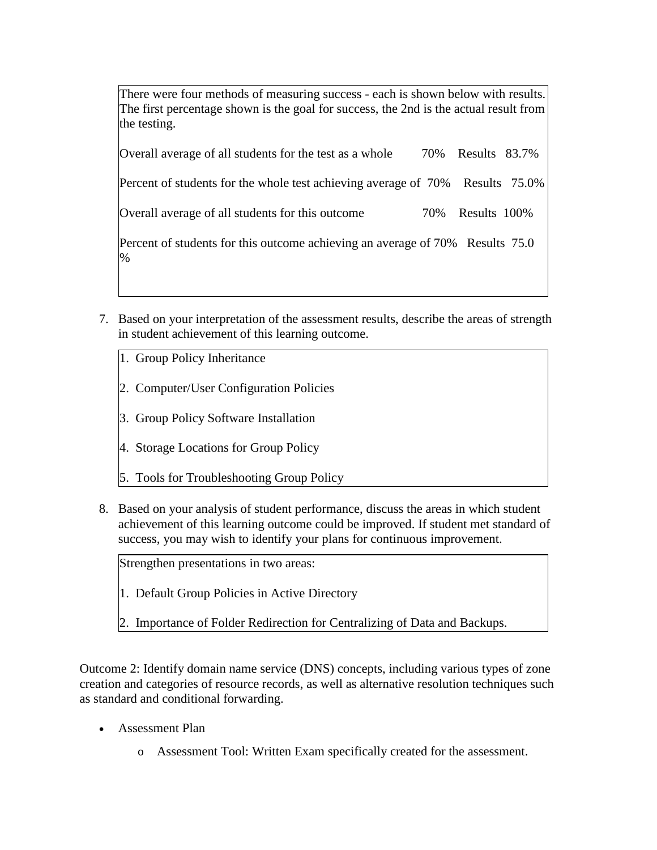There were four methods of measuring success - each is shown below with results. The first percentage shown is the goal for success, the 2nd is the actual result from the testing.

| Overall average of all students for the test as a whole                               | 70% | Results 83.7% |  |
|---------------------------------------------------------------------------------------|-----|---------------|--|
| Percent of students for the whole test achieving average of 70% Results 75.0%         |     |               |  |
| Overall average of all students for this outcome                                      | 70% | Results 100%  |  |
| Percent of students for this outcome achieving an average of 70% Results 75.0<br>$\%$ |     |               |  |

- 7. Based on your interpretation of the assessment results, describe the areas of strength in student achievement of this learning outcome.
	- 1. Group Policy Inheritance
	- 2. Computer/User Configuration Policies
	- 3. Group Policy Software Installation
	- 4. Storage Locations for Group Policy
	- 5. Tools for Troubleshooting Group Policy
- 8. Based on your analysis of student performance, discuss the areas in which student achievement of this learning outcome could be improved. If student met standard of success, you may wish to identify your plans for continuous improvement.

Strengthen presentations in two areas:

- 1. Default Group Policies in Active Directory
- 2. Importance of Folder Redirection for Centralizing of Data and Backups.

Outcome 2: Identify domain name service (DNS) concepts, including various types of zone creation and categories of resource records, as well as alternative resolution techniques such as standard and conditional forwarding.

- Assessment Plan
	- o Assessment Tool: Written Exam specifically created for the assessment.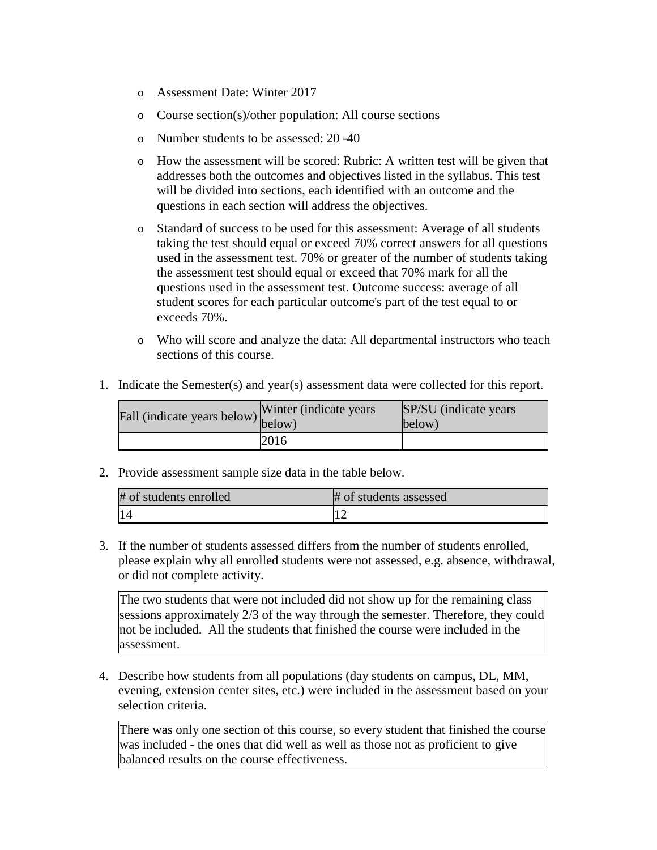- o Assessment Date: Winter 2017
- o Course section(s)/other population: All course sections
- o Number students to be assessed: 20 -40
- o How the assessment will be scored: Rubric: A written test will be given that addresses both the outcomes and objectives listed in the syllabus. This test will be divided into sections, each identified with an outcome and the questions in each section will address the objectives.
- o Standard of success to be used for this assessment: Average of all students taking the test should equal or exceed 70% correct answers for all questions used in the assessment test. 70% or greater of the number of students taking the assessment test should equal or exceed that 70% mark for all the questions used in the assessment test. Outcome success: average of all student scores for each particular outcome's part of the test equal to or exceeds 70%.
- o Who will score and analyze the data: All departmental instructors who teach sections of this course.
- 1. Indicate the Semester(s) and year(s) assessment data were collected for this report.

| Fall (indicate years below) below) | Winter (indicate years) | SP/SU (indicate years)<br>below) |
|------------------------------------|-------------------------|----------------------------------|
|                                    | 2016                    |                                  |

2. Provide assessment sample size data in the table below.

| # of students enrolled | # of students assessed |
|------------------------|------------------------|
| 14                     |                        |

3. If the number of students assessed differs from the number of students enrolled, please explain why all enrolled students were not assessed, e.g. absence, withdrawal, or did not complete activity.

The two students that were not included did not show up for the remaining class sessions approximately 2/3 of the way through the semester. Therefore, they could not be included. All the students that finished the course were included in the assessment.

4. Describe how students from all populations (day students on campus, DL, MM, evening, extension center sites, etc.) were included in the assessment based on your selection criteria.

There was only one section of this course, so every student that finished the course was included - the ones that did well as well as those not as proficient to give balanced results on the course effectiveness.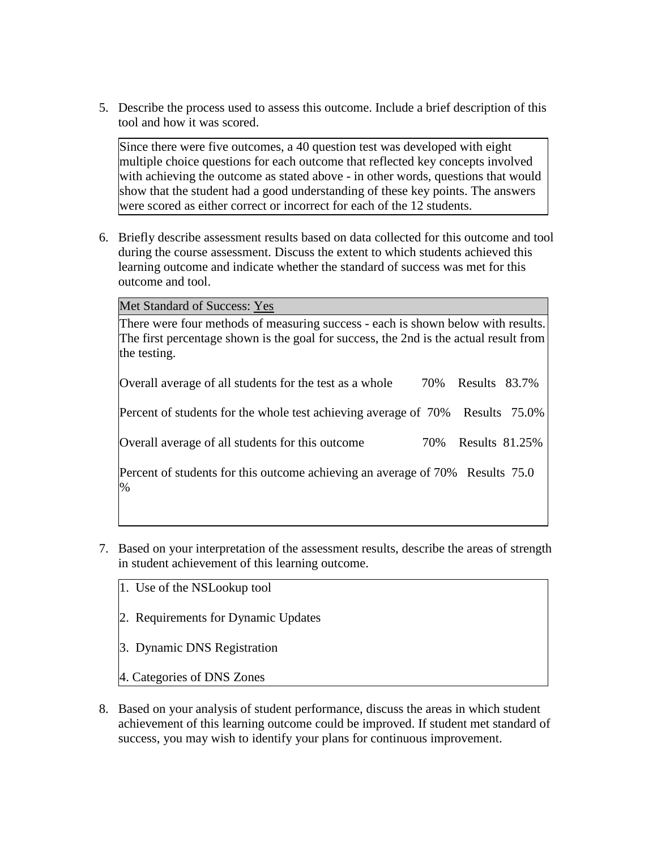5. Describe the process used to assess this outcome. Include a brief description of this tool and how it was scored.

Since there were five outcomes, a 40 question test was developed with eight multiple choice questions for each outcome that reflected key concepts involved with achieving the outcome as stated above - in other words, questions that would show that the student had a good understanding of these key points. The answers were scored as either correct or incorrect for each of the 12 students.

6. Briefly describe assessment results based on data collected for this outcome and tool during the course assessment. Discuss the extent to which students achieved this learning outcome and indicate whether the standard of success was met for this outcome and tool.

Met Standard of Success: Yes

There were four methods of measuring success - each is shown below with results. The first percentage shown is the goal for success, the 2nd is the actual result from the testing.

| Overall average of all students for the test as a whole                            | 70% Results 83.7%  |  |
|------------------------------------------------------------------------------------|--------------------|--|
| Percent of students for the whole test achieving average of 70% Results 75.0%      |                    |  |
| Overall average of all students for this outcome                                   | 70% Results 81.25% |  |
| Percent of students for this outcome achieving an average of 70% Results 75.0<br>% |                    |  |

- 7. Based on your interpretation of the assessment results, describe the areas of strength in student achievement of this learning outcome.
	- 1. Use of the NSLookup tool
	- 2. Requirements for Dynamic Updates
	- 3. Dynamic DNS Registration
	- 4. Categories of DNS Zones
- 8. Based on your analysis of student performance, discuss the areas in which student achievement of this learning outcome could be improved. If student met standard of success, you may wish to identify your plans for continuous improvement.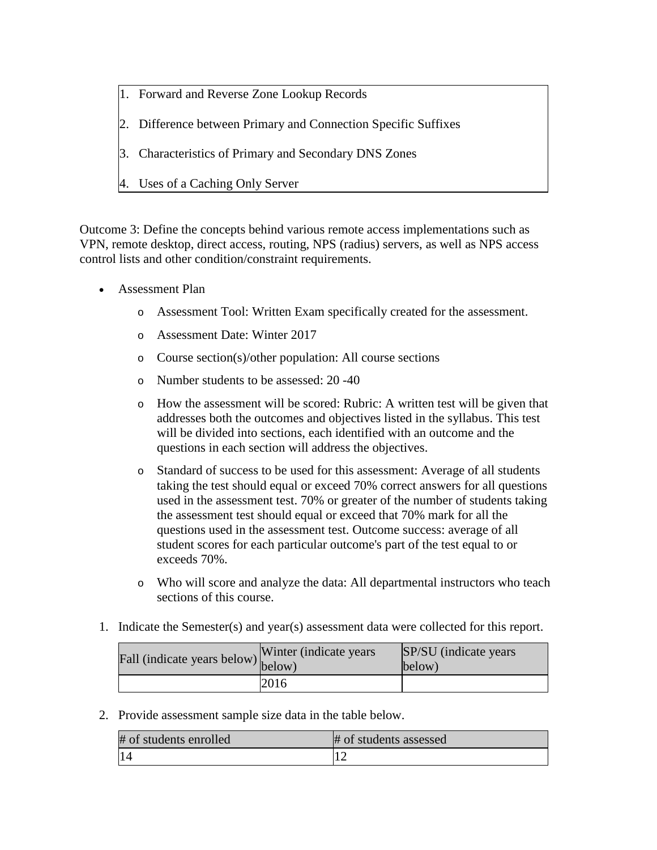- 1. Forward and Reverse Zone Lookup Records
- 2. Difference between Primary and Connection Specific Suffixes
- 3. Characteristics of Primary and Secondary DNS Zones
- 4. Uses of a Caching Only Server

Outcome 3: Define the concepts behind various remote access implementations such as VPN, remote desktop, direct access, routing, NPS (radius) servers, as well as NPS access control lists and other condition/constraint requirements.

- Assessment Plan
	- o Assessment Tool: Written Exam specifically created for the assessment.
	- o Assessment Date: Winter 2017
	- o Course section(s)/other population: All course sections
	- o Number students to be assessed: 20 -40
	- o How the assessment will be scored: Rubric: A written test will be given that addresses both the outcomes and objectives listed in the syllabus. This test will be divided into sections, each identified with an outcome and the questions in each section will address the objectives.
	- o Standard of success to be used for this assessment: Average of all students taking the test should equal or exceed 70% correct answers for all questions used in the assessment test. 70% or greater of the number of students taking the assessment test should equal or exceed that 70% mark for all the questions used in the assessment test. Outcome success: average of all student scores for each particular outcome's part of the test equal to or exceeds 70%.
	- o Who will score and analyze the data: All departmental instructors who teach sections of this course.
- 1. Indicate the Semester(s) and year(s) assessment data were collected for this report.

| rall (indicate years below) below) | Winter (indicate years) | <b>SP/SU</b> (indicate years)<br>below) |
|------------------------------------|-------------------------|-----------------------------------------|
|                                    | 2016                    |                                         |

2. Provide assessment sample size data in the table below.

| # of students enrolled | # of students assessed |
|------------------------|------------------------|
|                        |                        |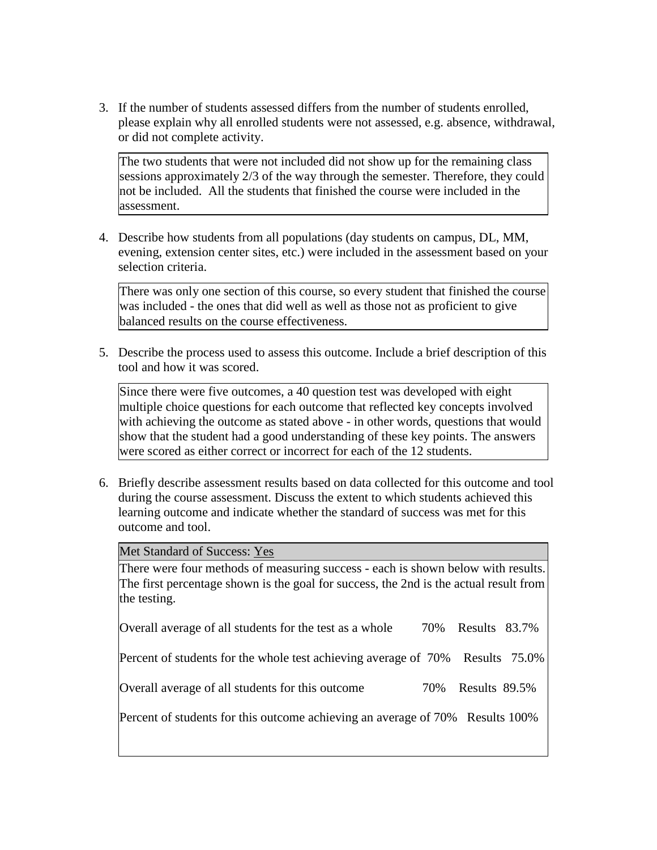3. If the number of students assessed differs from the number of students enrolled, please explain why all enrolled students were not assessed, e.g. absence, withdrawal, or did not complete activity.

The two students that were not included did not show up for the remaining class sessions approximately 2/3 of the way through the semester. Therefore, they could not be included. All the students that finished the course were included in the assessment.

4. Describe how students from all populations (day students on campus, DL, MM, evening, extension center sites, etc.) were included in the assessment based on your selection criteria.

There was only one section of this course, so every student that finished the course was included - the ones that did well as well as those not as proficient to give balanced results on the course effectiveness.

5. Describe the process used to assess this outcome. Include a brief description of this tool and how it was scored.

Since there were five outcomes, a 40 question test was developed with eight multiple choice questions for each outcome that reflected key concepts involved with achieving the outcome as stated above - in other words, questions that would show that the student had a good understanding of these key points. The answers were scored as either correct or incorrect for each of the 12 students.

6. Briefly describe assessment results based on data collected for this outcome and tool during the course assessment. Discuss the extent to which students achieved this learning outcome and indicate whether the standard of success was met for this outcome and tool.

Met Standard of Success: Yes

There were four methods of measuring success - each is shown below with results. The first percentage shown is the goal for success, the 2nd is the actual result from the testing.

Overall average of all students for the test as a whole 70% Results 83.7%

Percent of students for the whole test achieving average of 70% Results 75.0%

Overall average of all students for this outcome 70% Results 89.5%

Percent of students for this outcome achieving an average of 70% Results 100%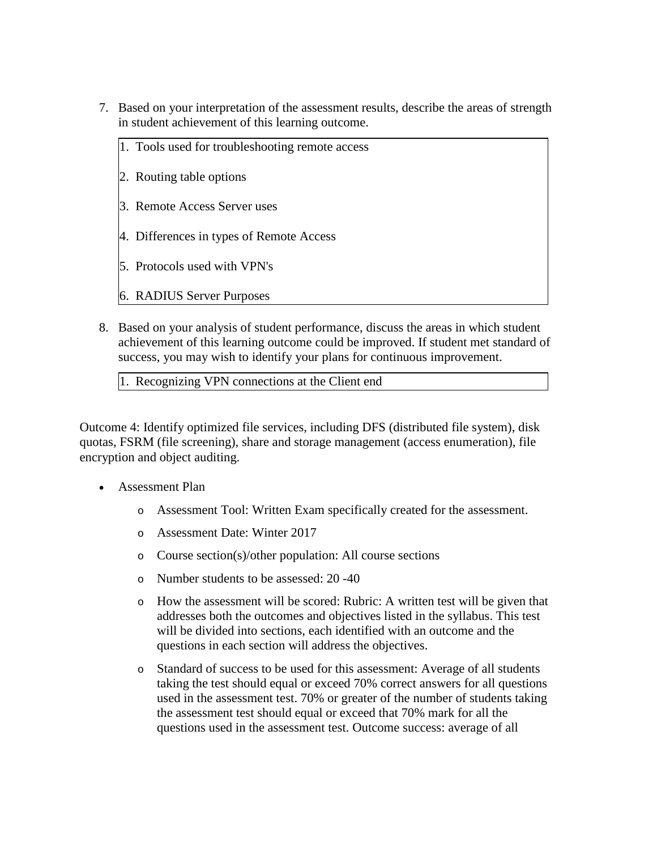- 7. Based on your interpretation of the assessment results, describe the areas of strength in student achievement of this learning outcome.
	- 1. Tools used for troubleshooting remote access
	- 2. Routing table options
	- 3. Remote Access Server uses
	- 4. Differences in types of Remote Access
	- 5. Protocols used with VPN's
	- 6. RADIUS Server Purposes
- 8. Based on your analysis of student performance, discuss the areas in which student achievement of this learning outcome could be improved. If student met standard of success, you may wish to identify your plans for continuous improvement.

1. Recognizing VPN connections at the Client end

Outcome 4: Identify optimized file services, including DFS (distributed file system), disk quotas, FSRM (file screening), share and storage management (access enumeration), file encryption and object auditing.

- Assessment Plan
	- o Assessment Tool: Written Exam specifically created for the assessment.
	- o Assessment Date: Winter 2017
	- o Course section(s)/other population: All course sections
	- o Number students to be assessed: 20 -40
	- o How the assessment will be scored: Rubric: A written test will be given that addresses both the outcomes and objectives listed in the syllabus. This test will be divided into sections, each identified with an outcome and the questions in each section will address the objectives.
	- o Standard of success to be used for this assessment: Average of all students taking the test should equal or exceed 70% correct answers for all questions used in the assessment test. 70% or greater of the number of students taking the assessment test should equal or exceed that 70% mark for all the questions used in the assessment test. Outcome success: average of all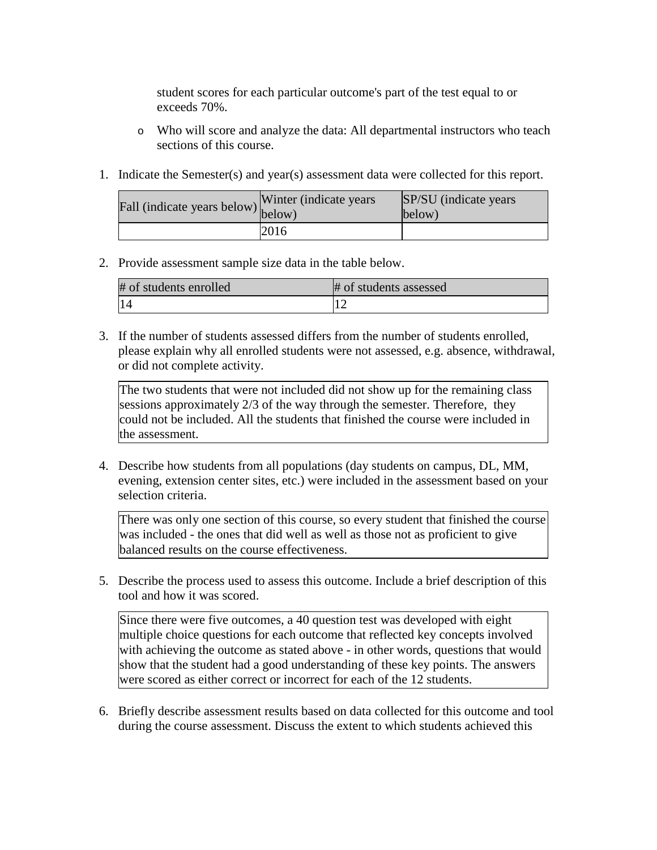student scores for each particular outcome's part of the test equal to or exceeds 70%.

- o Who will score and analyze the data: All departmental instructors who teach sections of this course.
- 1. Indicate the Semester(s) and year(s) assessment data were collected for this report.

| Fall (indicate years below) below) | Winter (indicate years) | SP/SU (indicate years)<br>below) |
|------------------------------------|-------------------------|----------------------------------|
|                                    | 2016                    |                                  |

## 2. Provide assessment sample size data in the table below.

| # of students enrolled | # of students assessed |
|------------------------|------------------------|
| 14                     |                        |

3. If the number of students assessed differs from the number of students enrolled, please explain why all enrolled students were not assessed, e.g. absence, withdrawal, or did not complete activity.

The two students that were not included did not show up for the remaining class sessions approximately 2/3 of the way through the semester. Therefore, they could not be included. All the students that finished the course were included in the assessment.

4. Describe how students from all populations (day students on campus, DL, MM, evening, extension center sites, etc.) were included in the assessment based on your selection criteria.

There was only one section of this course, so every student that finished the course was included - the ones that did well as well as those not as proficient to give balanced results on the course effectiveness.

5. Describe the process used to assess this outcome. Include a brief description of this tool and how it was scored.

Since there were five outcomes, a 40 question test was developed with eight multiple choice questions for each outcome that reflected key concepts involved with achieving the outcome as stated above - in other words, questions that would show that the student had a good understanding of these key points. The answers were scored as either correct or incorrect for each of the 12 students.

6. Briefly describe assessment results based on data collected for this outcome and tool during the course assessment. Discuss the extent to which students achieved this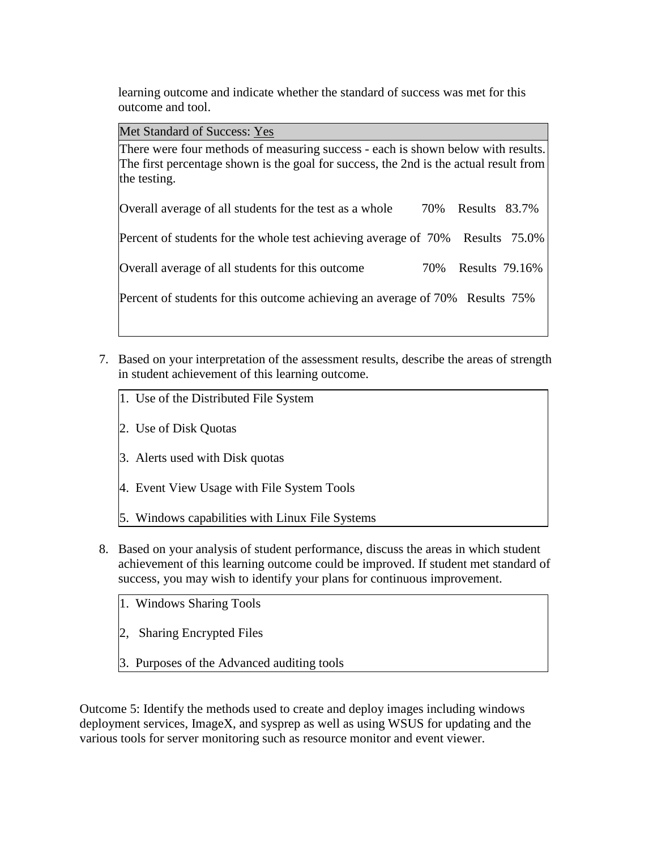learning outcome and indicate whether the standard of success was met for this outcome and tool.

Met Standard of Success: Yes

There were four methods of measuring success - each is shown below with results. The first percentage shown is the goal for success, the 2nd is the actual result from the testing.

Overall average of all students for the test as a whole 70% Results 83.7%

Percent of students for the whole test achieving average of 70% Results 75.0%

Overall average of all students for this outcome 70% Results 79.16%

Percent of students for this outcome achieving an average of 70% Results 75%

- 7. Based on your interpretation of the assessment results, describe the areas of strength in student achievement of this learning outcome.
	- 1. Use of the Distributed File System
	- 2. Use of Disk Quotas
	- 3. Alerts used with Disk quotas
	- 4. Event View Usage with File System Tools
	- 5. Windows capabilities with Linux File Systems
- 8. Based on your analysis of student performance, discuss the areas in which student achievement of this learning outcome could be improved. If student met standard of success, you may wish to identify your plans for continuous improvement.
	- 1. Windows Sharing Tools
	- 2, Sharing Encrypted Files
	- 3. Purposes of the Advanced auditing tools

Outcome 5: Identify the methods used to create and deploy images including windows deployment services, ImageX, and sysprep as well as using WSUS for updating and the various tools for server monitoring such as resource monitor and event viewer.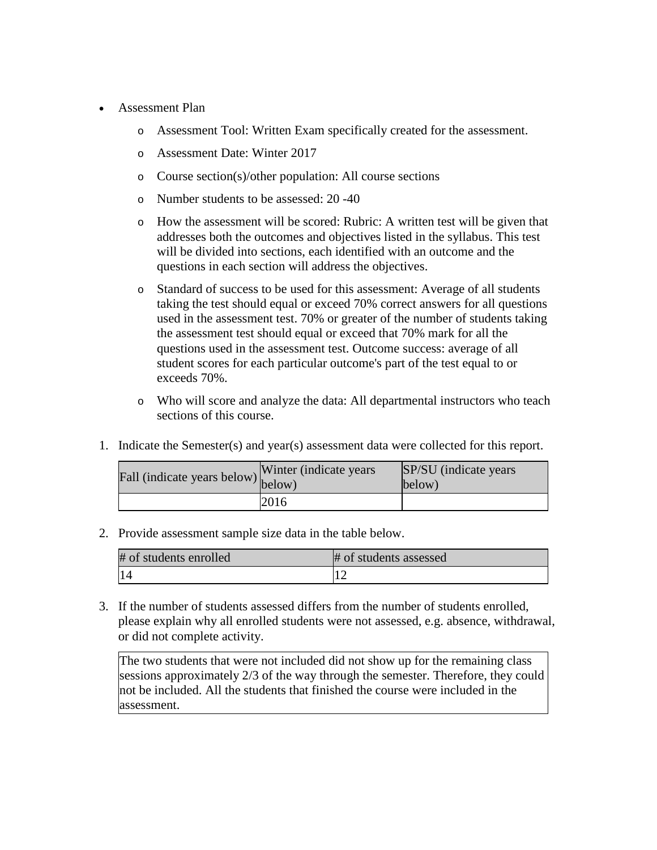- Assessment Plan
	- o Assessment Tool: Written Exam specifically created for the assessment.
	- o Assessment Date: Winter 2017
	- o Course section(s)/other population: All course sections
	- o Number students to be assessed: 20 -40
	- o How the assessment will be scored: Rubric: A written test will be given that addresses both the outcomes and objectives listed in the syllabus. This test will be divided into sections, each identified with an outcome and the questions in each section will address the objectives.
	- o Standard of success to be used for this assessment: Average of all students taking the test should equal or exceed 70% correct answers for all questions used in the assessment test. 70% or greater of the number of students taking the assessment test should equal or exceed that 70% mark for all the questions used in the assessment test. Outcome success: average of all student scores for each particular outcome's part of the test equal to or exceeds 70%.
	- o Who will score and analyze the data: All departmental instructors who teach sections of this course.
- 1. Indicate the Semester(s) and year(s) assessment data were collected for this report.

| Fall (indicate years below) $\begin{bmatrix} w \text{ inter} \\ below \end{bmatrix}$ | Winter (indicate years) | SP/SU (indicate years)<br>below) |
|--------------------------------------------------------------------------------------|-------------------------|----------------------------------|
|                                                                                      | 2016                    |                                  |

2. Provide assessment sample size data in the table below.

| # of students enrolled | # of students assessed |
|------------------------|------------------------|
|                        |                        |

3. If the number of students assessed differs from the number of students enrolled, please explain why all enrolled students were not assessed, e.g. absence, withdrawal, or did not complete activity.

The two students that were not included did not show up for the remaining class sessions approximately 2/3 of the way through the semester. Therefore, they could not be included. All the students that finished the course were included in the assessment.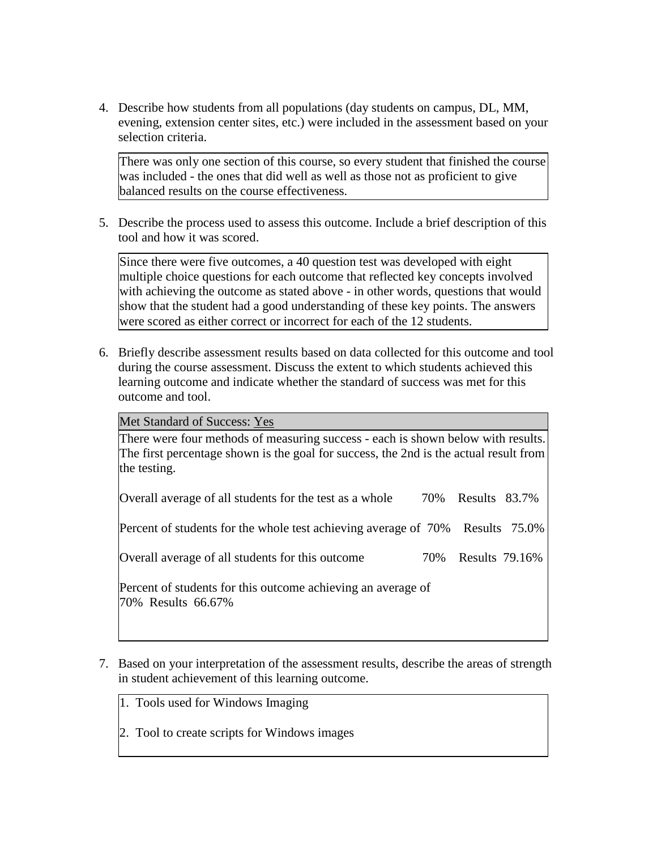4. Describe how students from all populations (day students on campus, DL, MM, evening, extension center sites, etc.) were included in the assessment based on your selection criteria.

There was only one section of this course, so every student that finished the course was included - the ones that did well as well as those not as proficient to give balanced results on the course effectiveness.

5. Describe the process used to assess this outcome. Include a brief description of this tool and how it was scored.

Since there were five outcomes, a 40 question test was developed with eight multiple choice questions for each outcome that reflected key concepts involved with achieving the outcome as stated above - in other words, questions that would show that the student had a good understanding of these key points. The answers were scored as either correct or incorrect for each of the 12 students.

6. Briefly describe assessment results based on data collected for this outcome and tool during the course assessment. Discuss the extent to which students achieved this learning outcome and indicate whether the standard of success was met for this outcome and tool.

Met Standard of Success: Yes

There were four methods of measuring success - each is shown below with results. The first percentage shown is the goal for success, the 2nd is the actual result from the testing.

| Overall average of all students for the test as a whole                       | 70% Results 83.7%  |  |
|-------------------------------------------------------------------------------|--------------------|--|
| Percent of students for the whole test achieving average of 70% Results 75.0% |                    |  |
| Overall average of all students for this outcome                              | 70% Results 79.16% |  |

Percent of students for this outcome achieving an average of 70% Results 66.67%

- 7. Based on your interpretation of the assessment results, describe the areas of strength in student achievement of this learning outcome.
	- 1. Tools used for Windows Imaging
	- 2. Tool to create scripts for Windows images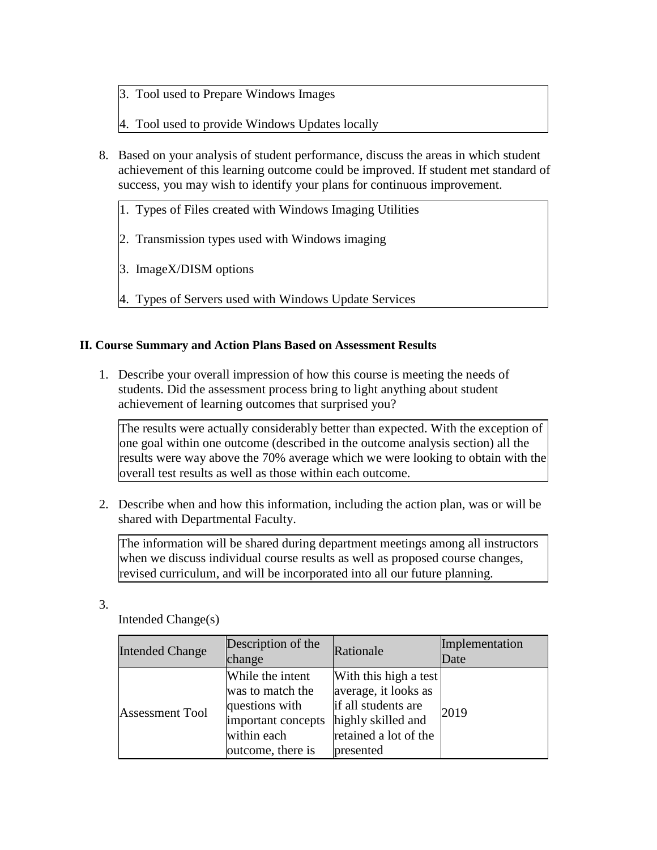- 3. Tool used to Prepare Windows Images
- 4. Tool used to provide Windows Updates locally
- 8. Based on your analysis of student performance, discuss the areas in which student achievement of this learning outcome could be improved. If student met standard of success, you may wish to identify your plans for continuous improvement.
	- 1. Types of Files created with Windows Imaging Utilities
	- 2. Transmission types used with Windows imaging
	- 3. ImageX/DISM options
	- 4. Types of Servers used with Windows Update Services

## **II. Course Summary and Action Plans Based on Assessment Results**

1. Describe your overall impression of how this course is meeting the needs of students. Did the assessment process bring to light anything about student achievement of learning outcomes that surprised you?

The results were actually considerably better than expected. With the exception of one goal within one outcome (described in the outcome analysis section) all the results were way above the 70% average which we were looking to obtain with the overall test results as well as those within each outcome.

2. Describe when and how this information, including the action plan, was or will be shared with Departmental Faculty.

The information will be shared during department meetings among all instructors when we discuss individual course results as well as proposed course changes, revised curriculum, and will be incorporated into all our future planning.

3.

Intended Change(s)

| <b>Intended Change</b> | Description of the<br>change                                                                                     | Rationale                                                                                                                        | Implementation<br>Date |
|------------------------|------------------------------------------------------------------------------------------------------------------|----------------------------------------------------------------------------------------------------------------------------------|------------------------|
| <b>Assessment Tool</b> | While the intent<br>was to match the<br>questions with<br>important concepts<br>within each<br>outcome, there is | With this high a test<br>average, it looks as<br>if all students are<br>highly skilled and<br>retained a lot of the<br>presented | 2019                   |